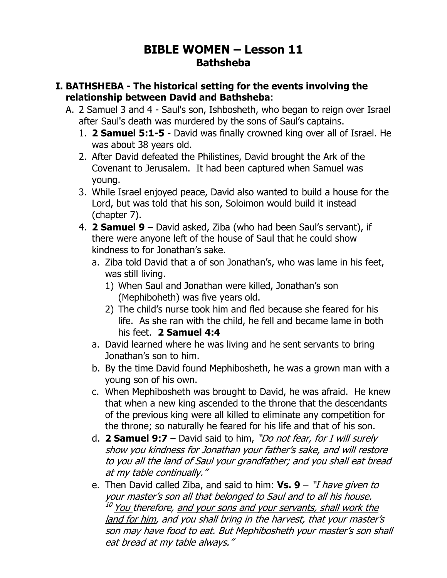## **BIBLE WOMEN – Lesson 11 Bathsheba**

## **I. BATHSHEBA - The historical setting for the events involving the relationship between David and Bathsheba**:

- A. 2 Samuel 3 and 4 Saul's son, Ishbosheth, who began to reign over Israel after Saul's death was murdered by the sons of Saul's captains.
	- 1. **2 Samuel 5:1-5** David was finally crowned king over all of Israel. He was about 38 years old.
	- 2. After David defeated the Philistines, David brought the Ark of the Covenant to Jerusalem. It had been captured when Samuel was young.
	- 3. While Israel enjoyed peace, David also wanted to build a house for the Lord, but was told that his son, Soloimon would build it instead (chapter 7).
	- 4. **2 Samuel 9** David asked, Ziba (who had been Saul's servant), if there were anyone left of the house of Saul that he could show kindness to for Jonathan's sake.
		- a. Ziba told David that a of son Jonathan's, who was lame in his feet, was still living.
			- 1) When Saul and Jonathan were killed, Jonathan's son (Mephiboheth) was five years old.
			- 2) The child's nurse took him and fled because she feared for his life. As she ran with the child, he fell and became lame in both his feet. **2 Samuel 4:4**
		- a. David learned where he was living and he sent servants to bring Jonathan's son to him.
		- b. By the time David found Mephibosheth, he was a grown man with a young son of his own.
		- c. When Mephibosheth was brought to David, he was afraid. He knew that when a new king ascended to the throne that the descendants of the previous king were all killed to eliminate any competition for the throne; so naturally he feared for his life and that of his son.
		- d. **2 Samuel 9:7** David said to him, "Do not fear, for I will surely show you kindness for Jonathan your father's sake, and will restore to you all the land of Saul your grandfather; and you shall eat bread at my table continually."
		- e. Then David called Ziba, and said to him: **Vs. 9** "I have given to your master's son all that belonged to Saul and to all his house. <sup>10</sup> You therefore, <u>and your sons and your servants, shall work the</u> land for him, and you shall bring in the harvest, that your master's son may have food to eat. But Mephibosheth your master's son shall eat bread at my table always."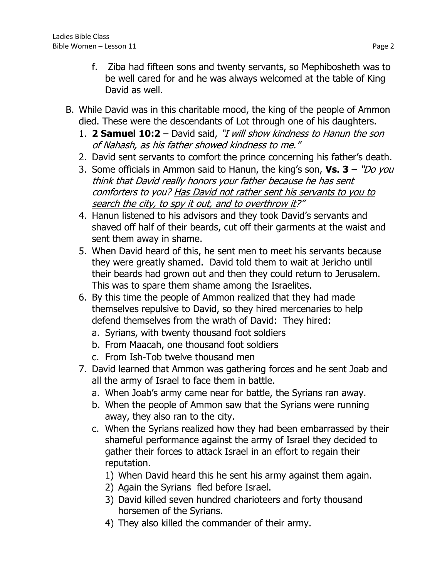- f. Ziba had fifteen sons and twenty servants, so Mephibosheth was to be well cared for and he was always welcomed at the table of King David as well.
- B. While David was in this charitable mood, the king of the people of Ammon died. These were the descendants of Lot through one of his daughters.
	- 1. **2 Samuel 10:2** David said, "I will show kindness to Hanun the son of Nahash, as his father showed kindness to me."
	- 2. David sent servants to comfort the prince concerning his father's death.
	- 3. Some officials in Ammon said to Hanun, the king's son, **Vs. 3** "Do you think that David really honors your father because he has sent comforters to you? Has David not rather sent his servants to you to search the city, to spy it out, and to overthrow it?"
	- 4. Hanun listened to his advisors and they took David's servants and shaved off half of their beards, cut off their garments at the waist and sent them away in shame.
	- 5. When David heard of this, he sent men to meet his servants because they were greatly shamed. David told them to wait at Jericho until their beards had grown out and then they could return to Jerusalem. This was to spare them shame among the Israelites.
	- 6. By this time the people of Ammon realized that they had made themselves repulsive to David, so they hired mercenaries to help defend themselves from the wrath of David: They hired:
		- a. Syrians, with twenty thousand foot soldiers
		- b. From Maacah, one thousand foot soldiers
		- c. From Ish-Tob twelve thousand men
	- 7. David learned that Ammon was gathering forces and he sent Joab and all the army of Israel to face them in battle.
		- a. When Joab's army came near for battle, the Syrians ran away.
		- b. When the people of Ammon saw that the Syrians were running away, they also ran to the city.
		- c. When the Syrians realized how they had been embarrassed by their shameful performance against the army of Israel they decided to gather their forces to attack Israel in an effort to regain their reputation.
			- 1) When David heard this he sent his army against them again.
			- 2) Again the Syrians fled before Israel.
			- 3) David killed seven hundred charioteers and forty thousand horsemen of the Syrians.
			- 4) They also killed the commander of their army.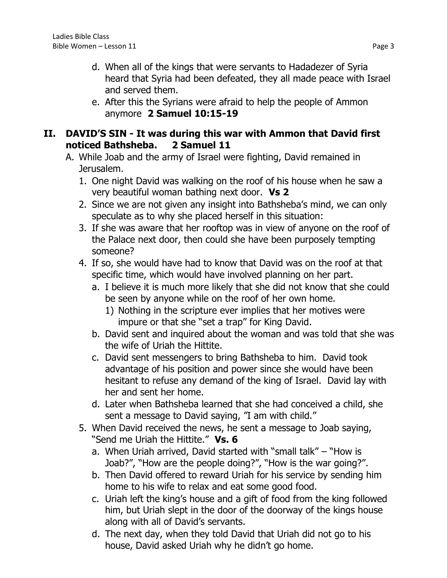- d. When all of the kings that were servants to Hadadezer of Syria heard that Syria had been defeated, they all made peace with Israel and served them.
- e. After this the Syrians were afraid to help the people of Ammon anymore **2 Samuel 10:15-19**

## **II. DAVID'S SIN - It was during this war with Ammon that David first noticed Bathsheba. 2 Samuel 11**

- A. While Joab and the army of Israel were fighting, David remained in Jerusalem.
	- 1. One night David was walking on the roof of his house when he saw a very beautiful woman bathing next door. **Vs 2**
	- 2. Since we are not given any insight into Bathsheba's mind, we can only speculate as to why she placed herself in this situation:
	- 3. If she was aware that her rooftop was in view of anyone on the roof of the Palace next door, then could she have been purposely tempting someone?
	- 4. If so, she would have had to know that David was on the roof at that specific time, which would have involved planning on her part.
		- a. I believe it is much more likely that she did not know that she could be seen by anyone while on the roof of her own home.
			- 1) Nothing in the scripture ever implies that her motives were impure or that she "set a trap" for King David.
		- b. David sent and inquired about the woman and was told that she was the wife of Uriah the Hittite.
		- c. David sent messengers to bring Bathsheba to him. David took advantage of his position and power since she would have been hesitant to refuse any demand of the king of Israel. David lay with her and sent her home.
		- d. Later when Bathsheba learned that she had conceived a child, she sent a message to David saying, "I am with child."
	- 5. When David received the news, he sent a message to Joab saying, "Send me Uriah the Hittite." **Vs. 6**
		- a. When Uriah arrived, David started with "small talk" "How is Joab?", "How are the people doing?", "How is the war going?".
		- b. Then David offered to reward Uriah for his service by sending him home to his wife to relax and eat some good food.
		- c. Uriah left the king's house and a gift of food from the king followed him, but Uriah slept in the door of the doorway of the kings house along with all of David's servants.
		- d. The next day, when they told David that Uriah did not go to his house, David asked Uriah why he didn't go home.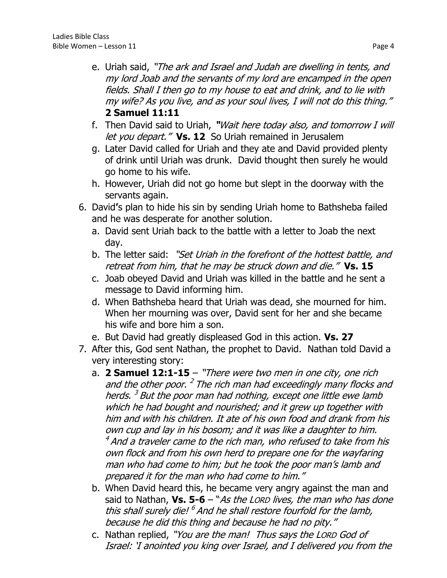- e. Uriah said, "The ark and Israel and Judah are dwelling in tents, and my lord Joab and the servants of my lord are encamped in the open fields. Shall I then go to my house to eat and drink, and to lie with my wife? As you live, and as your soul lives, I will not do this thing." **2 Samuel 11:11**
- f. Then David said to Uriah, **"**Wait here today also, and tomorrow I will let you depart." **Vs. 12** So Uriah remained in Jerusalem
- g. Later David called for Uriah and they ate and David provided plenty of drink until Uriah was drunk. David thought then surely he would go home to his wife.
- h. However, Uriah did not go home but slept in the doorway with the servants again.
- 6. David**'**s plan to hide his sin by sending Uriah home to Bathsheba failed and he was desperate for another solution.
	- a. David sent Uriah back to the battle with a letter to Joab the next day.
	- b. The letter said: "Set Uriah in the forefront of the hottest battle, and retreat from him, that he may be struck down and die." **Vs. 15**
	- c. Joab obeyed David and Uriah was killed in the battle and he sent a message to David informing him.
	- d. When Bathsheba heard that Uriah was dead, she mourned for him. When her mourning was over, David sent for her and she became his wife and bore him a son.
	- e. But David had greatly displeased God in this action. **Vs. 27**
- 7. After this, God sent Nathan, the prophet to David. Nathan told David a very interesting story:
	- a. **2 Samuel 12:1-15** "There were two men in one city, one rich and the other poor. <sup>2</sup> The rich man had exceedingly many flocks and herds. <sup>3</sup> But the poor man had nothing, except one little ewe lamb which he had bought and nourished; and it grew up together with him and with his children. It ate of his own food and drank from his own cup and lay in his bosom; and it was like a daughter to him.  $^4$  And a traveler came to the rich man, who refused to take from his own flock and from his own herd to prepare one for the wayfaring man who had come to him; but he took the poor man's lamb and prepared it for the man who had come to him."
	- b. When David heard this, he became very angry against the man and said to Nathan, **Vs. 5-6** – "As the LORD lives, the man who has done this shall surely die! <sup>6</sup> And he shall restore fourfold for the lamb, because he did this thing and because he had no pity."
	- c. Nathan replied, "You are the man! Thus says the LORD God of Israel: 'I anointed you king over Israel, and I delivered you from the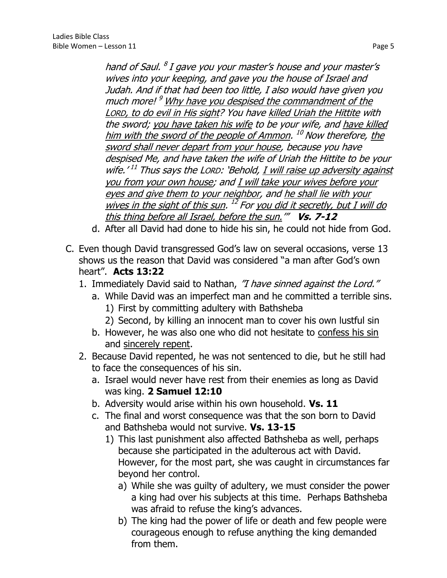hand of Saul.  $^8$  I gave you your master's house and your master's wives into your keeping, and gave you the house of Israel and Judah. And if that had been too little, I also would have given you much more! <sup>9</sup> Why have you despised the commandment of the LORD, to do evil in His sight? You have killed Uriah the Hittite with the sword; you have taken his wife to be your wife, and have killed <u>him with the sword of the people of Ammon</u>. <sup>10</sup> Now therefore, <u>the</u> sword shall never depart from your house, because you have despised Me, and have taken the wife of Uriah the Hittite to be your wife.'<sup>11</sup> Thus says the Lorp: 'Behold, <u>I will raise up adversity against</u> you from your own house; and I will take your wives before your eyes and give them to your neighbor, and he shall lie with your wives in the sight of this sun. <sup>12</sup> For you did it secretly, but I will do this thing before all Israel, before the sun.'" **Vs. 7-12**

- d. After all David had done to hide his sin, he could not hide from God.
- C. Even though David transgressed God's law on several occasions, verse 13 shows us the reason that David was considered "a man after God's own heart". **Acts 13:22**
	- 1. Immediately David said to Nathan, "I have sinned against the Lord."
		- a. While David was an imperfect man and he committed a terrible sins.
			- 1) First by committing adultery with Bathsheba
			- 2) Second, by killing an innocent man to cover his own lustful sin
		- b. However, he was also one who did not hesitate to confess his sin and sincerely repent.
	- 2. Because David repented, he was not sentenced to die, but he still had to face the consequences of his sin.
		- a. Israel would never have rest from their enemies as long as David was king. **2 Samuel 12:10**
		- b. Adversity would arise within his own household. **Vs. 11**
		- c. The final and worst consequence was that the son born to David and Bathsheba would not survive. **Vs. 13-15**
			- 1) This last punishment also affected Bathsheba as well, perhaps because she participated in the adulterous act with David. However, for the most part, she was caught in circumstances far beyond her control.
				- a) While she was guilty of adultery, we must consider the power a king had over his subjects at this time. Perhaps Bathsheba was afraid to refuse the king's advances.
				- b) The king had the power of life or death and few people were courageous enough to refuse anything the king demanded from them.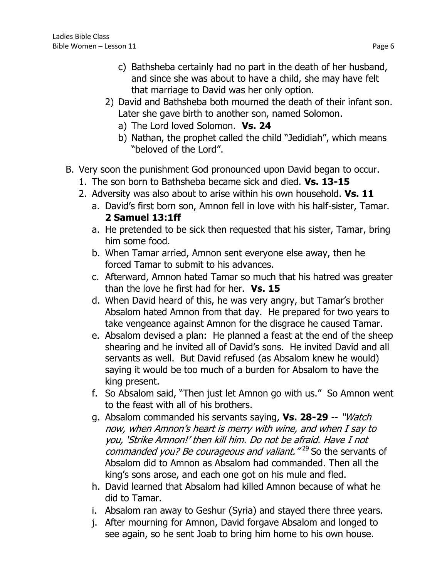- c) Bathsheba certainly had no part in the death of her husband, and since she was about to have a child, she may have felt that marriage to David was her only option.
- 2) David and Bathsheba both mourned the death of their infant son. Later she gave birth to another son, named Solomon.
	- a) The Lord loved Solomon. **Vs. 24**
	- b) Nathan, the prophet called the child "Jedidiah", which means "beloved of the Lord".
- B. Very soon the punishment God pronounced upon David began to occur.
	- 1. The son born to Bathsheba became sick and died. **Vs. 13-15**
	- 2. Adversity was also about to arise within his own household. **Vs. 11**
		- a. David's first born son, Amnon fell in love with his half-sister, Tamar. **2 Samuel 13:1ff**
		- a. He pretended to be sick then requested that his sister, Tamar, bring him some food.
		- b. When Tamar arried, Amnon sent everyone else away, then he forced Tamar to submit to his advances.
		- c. Afterward, Amnon hated Tamar so much that his hatred was greater than the love he first had for her. **Vs. 15**
		- d. When David heard of this, he was very angry, but Tamar's brother Absalom hated Amnon from that day. He prepared for two years to take vengeance against Amnon for the disgrace he caused Tamar.
		- e. Absalom devised a plan: He planned a feast at the end of the sheep shearing and he invited all of David's sons. He invited David and all servants as well. But David refused (as Absalom knew he would) saying it would be too much of a burden for Absalom to have the king present.
		- f. So Absalom said, "Then just let Amnon go with us." So Amnon went to the feast with all of his brothers.
		- g. Absalom commanded his servants saying, **Vs. 28-29** -- "Watch now, when Amnon's heart is merry with wine, and when I say to you, 'Strike Amnon!' then kill him. Do not be afraid. Have I not commanded you? Be courageous and valiant.<sup>"29</sup> So the servants of Absalom did to Amnon as Absalom had commanded. Then all the king's sons arose, and each one got on his mule and fled.
		- h. David learned that Absalom had killed Amnon because of what he did to Tamar.
		- i. Absalom ran away to Geshur (Syria) and stayed there three years.
		- j. After mourning for Amnon, David forgave Absalom and longed to see again, so he sent Joab to bring him home to his own house.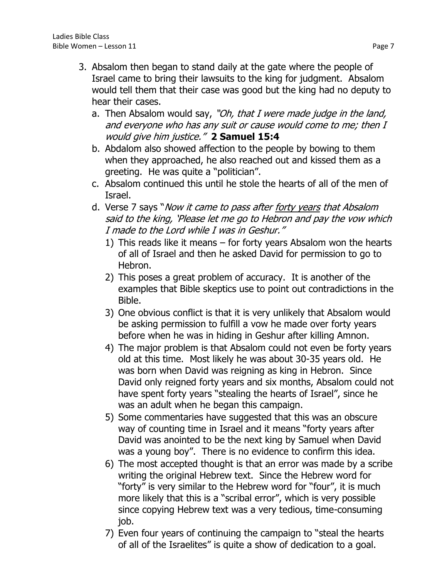- 3. Absalom then began to stand daily at the gate where the people of Israel came to bring their lawsuits to the king for judgment. Absalom would tell them that their case was good but the king had no deputy to hear their cases.
	- a. Then Absalom would say, "Oh, that I were made judge in the land, and everyone who has any suit or cause would come to me; then I would give him justice." **2 Samuel 15:4**
	- b. Abdalom also showed affection to the people by bowing to them when they approached, he also reached out and kissed them as a greeting. He was quite a "politician".
	- c. Absalom continued this until he stole the hearts of all of the men of Israel.
	- d. Verse 7 says "*Now it came to pass after forty years that Absalom* said to the king, 'Please let me go to Hebron and pay the vow which I made to the Lord while I was in Geshur."
		- 1) This reads like it means for forty years Absalom won the hearts of all of Israel and then he asked David for permission to go to Hebron.
		- 2) This poses a great problem of accuracy. It is another of the examples that Bible skeptics use to point out contradictions in the Bible.
		- 3) One obvious conflict is that it is very unlikely that Absalom would be asking permission to fulfill a vow he made over forty years before when he was in hiding in Geshur after killing Amnon.
		- 4) The major problem is that Absalom could not even be forty years old at this time. Most likely he was about 30-35 years old. He was born when David was reigning as king in Hebron. Since David only reigned forty years and six months, Absalom could not have spent forty years "stealing the hearts of Israel", since he was an adult when he began this campaign.
		- 5) Some commentaries have suggested that this was an obscure way of counting time in Israel and it means "forty years after David was anointed to be the next king by Samuel when David was a young boy". There is no evidence to confirm this idea.
		- 6) The most accepted thought is that an error was made by a scribe writing the original Hebrew text. Since the Hebrew word for "forty" is very similar to the Hebrew word for "four", it is much more likely that this is a "scribal error", which is very possible since copying Hebrew text was a very tedious, time-consuming job.
		- 7) Even four years of continuing the campaign to "steal the hearts of all of the Israelites" is quite a show of dedication to a goal.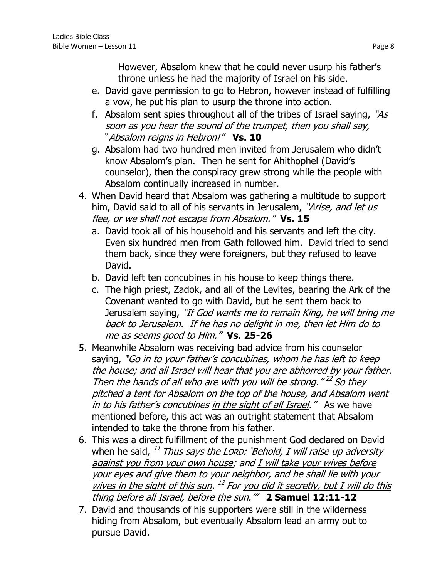However, Absalom knew that he could never usurp his father's throne unless he had the majority of Israel on his side.

- e. David gave permission to go to Hebron, however instead of fulfilling a vow, he put his plan to usurp the throne into action.
- f. Absalom sent spies throughout all of the tribes of Israel saying, "As soon as you hear the sound of the trumpet, then you shall say, "Absalom reigns in Hebron!" **Vs. 10**
- g. Absalom had two hundred men invited from Jerusalem who didn't know Absalom's plan. Then he sent for Ahithophel (David's counselor), then the conspiracy grew strong while the people with Absalom continually increased in number.
- 4. When David heard that Absalom was gathering a multitude to support him, David said to all of his servants in Jerusalem, "Arise, and let us flee, or we shall not escape from Absalom." **Vs. 15**
	- a. David took all of his household and his servants and left the city. Even six hundred men from Gath followed him. David tried to send them back, since they were foreigners, but they refused to leave David.
	- b. David left ten concubines in his house to keep things there.
	- c. The high priest, Zadok, and all of the Levites, bearing the Ark of the Covenant wanted to go with David, but he sent them back to Jerusalem saying, "If God wants me to remain King, he will bring me back to Jerusalem. If he has no delight in me, then let Him do to me as seems good to Him." **Vs. 25-26**
- 5. Meanwhile Absalom was receiving bad advice from his counselor saying, "Go in to your father's concubines, whom he has left to keep the house; and all Israel will hear that you are abhorred by your father. Then the hands of all who are with you will be strong." $^{22}$  So they pitched a tent for Absalom on the top of the house, and Absalom went in to his father's concubines in the sight of all Israel." As we have mentioned before, this act was an outright statement that Absalom intended to take the throne from his father.
- 6. This was a direct fulfillment of the punishment God declared on David when he said, <sup>11</sup> Thu*s says the Lor.D: 'Behold, <u>I will raise up adversity</u>* against you from your own house; and I will take your wives before your eyes and give them to your neighbor, and he shall lie with your wives in the sight of this sun. <sup>12</sup> For you did it secretly, but I will do this thing before all Israel, before the sun.'" **2 Samuel 12:11-12**
- 7. David and thousands of his supporters were still in the wilderness hiding from Absalom, but eventually Absalom lead an army out to pursue David.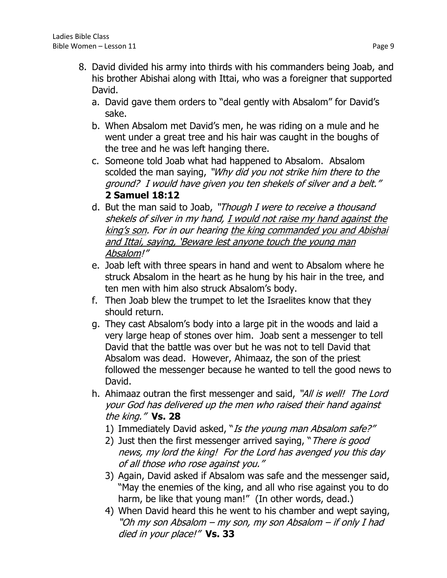- 8. David divided his army into thirds with his commanders being Joab, and his brother Abishai along with Ittai, who was a foreigner that supported David.
	- a. David gave them orders to "deal gently with Absalom" for David's sake.
	- b. When Absalom met David's men, he was riding on a mule and he went under a great tree and his hair was caught in the boughs of the tree and he was left hanging there.
	- c. Someone told Joab what had happened to Absalom. Absalom scolded the man saying, "Why did you not strike him there to the ground? I would have given you ten shekels of silver and a belt." **2 Samuel 18:12**
	- d. But the man said to Joab, "Though I were to receive a thousand shekels of silver in my hand, I would not raise my hand against the king's son. For in our hearing the king commanded you and Abishai and Ittai, saying, 'Beware lest anyone touch the young man Absalom!"
	- e. Joab left with three spears in hand and went to Absalom where he struck Absalom in the heart as he hung by his hair in the tree, and ten men with him also struck Absalom's body.
	- f. Then Joab blew the trumpet to let the Israelites know that they should return.
	- g. They cast Absalom's body into a large pit in the woods and laid a very large heap of stones over him. Joab sent a messenger to tell David that the battle was over but he was not to tell David that Absalom was dead. However, Ahimaaz, the son of the priest followed the messenger because he wanted to tell the good news to David.
	- h. Ahimaaz outran the first messenger and said, "All is well! The Lord your God has delivered up the men who raised their hand against the king." **Vs. 28**
		- 1) Immediately David asked, "Is the young man Absalom safe?"
		- 2) Just then the first messenger arrived saying, "There is good news, my lord the king! For the Lord has avenged you this day of all those who rose against you."
		- 3) Again, David asked if Absalom was safe and the messenger said, "May the enemies of the king, and all who rise against you to do harm, be like that young man!" (In other words, dead.)
		- 4) When David heard this he went to his chamber and wept saying, "Oh my son Absalom – my son, my son Absalom – if only I had died in your place!" **Vs. 33**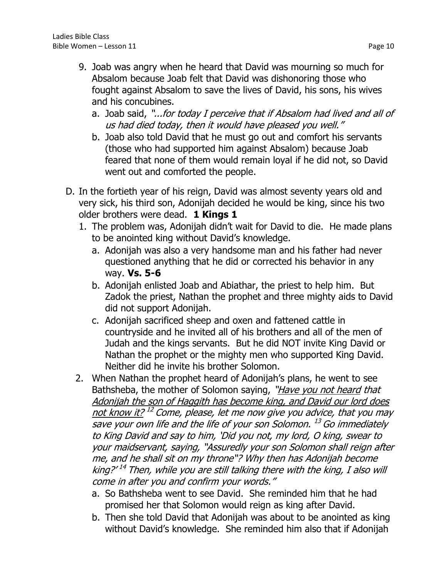- 9. Joab was angry when he heard that David was mourning so much for Absalom because Joab felt that David was dishonoring those who fought against Absalom to save the lives of David, his sons, his wives and his concubines.
	- a. Joab said, "...for today I perceive that if Absalom had lived and all of us had died today, then it would have pleased you well."
	- b. Joab also told David that he must go out and comfort his servants (those who had supported him against Absalom) because Joab feared that none of them would remain loyal if he did not, so David went out and comforted the people.
- D. In the fortieth year of his reign, David was almost seventy years old and very sick, his third son, Adonijah decided he would be king, since his two older brothers were dead. **1 Kings 1**
	- 1. The problem was, Adonijah didn't wait for David to die. He made plans to be anointed king without David's knowledge.
		- a. Adonijah was also a very handsome man and his father had never questioned anything that he did or corrected his behavior in any way. **Vs. 5-6**
		- b. Adonijah enlisted Joab and Abiathar, the priest to help him. But Zadok the priest, Nathan the prophet and three mighty aids to David did not support Adonijah.
		- c. Adonijah sacrificed sheep and oxen and fattened cattle in countryside and he invited all of his brothers and all of the men of Judah and the kings servants. But he did NOT invite King David or Nathan the prophet or the mighty men who supported King David. Neither did he invite his brother Solomon.
	- 2. When Nathan the prophet heard of Adonijah's plans, he went to see Bathsheba, the mother of Solomon saying, "Have you not heard that Adonijah the son of Haggith has become king, and David our lord does not know it? <sup>12</sup> Come, please, let me now give you advice, that you may save your own life and the life of your son Solomon. <sup>13</sup> Go immediately to King David and say to him, 'Did you not, my lord, O king, swear to your maidservant, saying, "Assuredly your son Solomon shall reign after me, and he shall sit on my throne"? Why then has Adonijah become king?' <sup>14</sup> Then, while you are still talking there with the king, I also will come in after you and confirm your words."
		- a. So Bathsheba went to see David. She reminded him that he had promised her that Solomon would reign as king after David.
		- b. Then she told David that Adonijah was about to be anointed as king without David's knowledge. She reminded him also that if Adonijah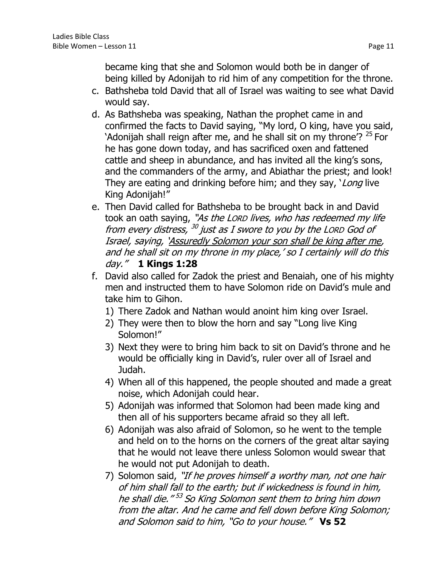became king that she and Solomon would both be in danger of being killed by Adonijah to rid him of any competition for the throne.

- c. Bathsheba told David that all of Israel was waiting to see what David would say.
- d. As Bathsheba was speaking, Nathan the prophet came in and confirmed the facts to David saying, "My lord, O king, have you said, 'Adonijah shall reign after me, and he shall sit on my throne'?  $25$  For he has gone down today, and has sacrificed oxen and fattened cattle and sheep in abundance, and has invited all the king's sons, and the commanders of the army, and Abiathar the priest; and look! They are eating and drinking before him; and they say, *`Long* live King Adonijah!"
- e. Then David called for Bathsheba to be brought back in and David took an oath saying, "As the Lorp lives, who has redeemed my life from every distress, <sup>30</sup> just as I swore to you by the Lorp God of Israel, saying, 'Assuredly Solomon your son shall be king after me, and he shall sit on my throne in my place,' so I certainly will do this day." **1 Kings 1:28**
- f. David also called for Zadok the priest and Benaiah, one of his mighty men and instructed them to have Solomon ride on David's mule and take him to Gihon.
	- 1) There Zadok and Nathan would anoint him king over Israel.
	- 2) They were then to blow the horn and say "Long live King Solomon!"
	- 3) Next they were to bring him back to sit on David's throne and he would be officially king in David's, ruler over all of Israel and Judah.
	- 4) When all of this happened, the people shouted and made a great noise, which Adonijah could hear.
	- 5) Adonijah was informed that Solomon had been made king and then all of his supporters became afraid so they all left.
	- 6) Adonijah was also afraid of Solomon, so he went to the temple and held on to the horns on the corners of the great altar saying that he would not leave there unless Solomon would swear that he would not put Adonijah to death.
	- 7) Solomon said, "If he proves himself a worthy man, not one hair of him shall fall to the earth; but if wickedness is found in him, he shall die." <sup>53</sup> So King Solomon sent them to bring him down from the altar. And he came and fell down before King Solomon; and Solomon said to him, "Go to your house." **Vs 52**